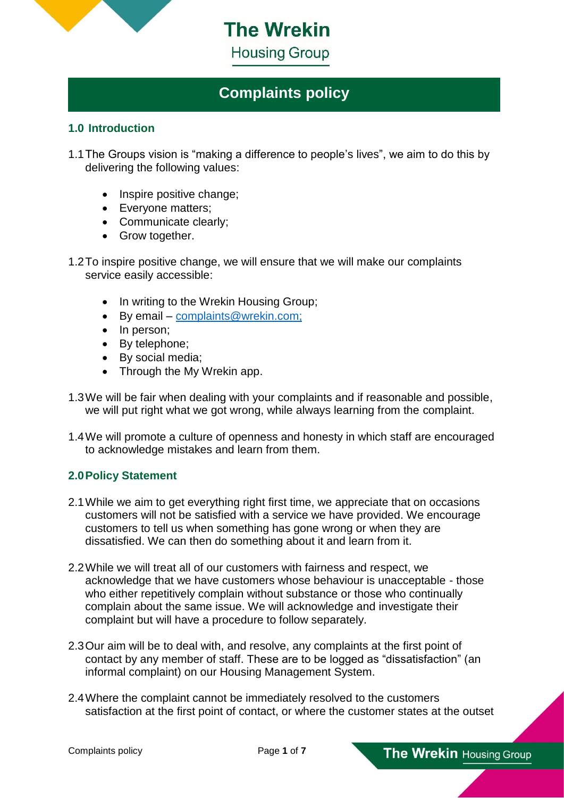

**The Wrekin Housing Group** 

# **Complaints policy**

#### **1.0 Introduction**

- 1.1The Groups vision is "making a difference to people's lives", we aim to do this by delivering the following values:
	- Inspire positive change:
	- Everyone matters;
	- Communicate clearly:
	- Grow together.

1.2To inspire positive change, we will ensure that we will make our complaints service easily accessible:

- In writing to the Wrekin Housing Group;
- By email [complaints@wrekin.com;](mailto:complaints@wrekin.com)
- In person;
- By telephone;
- By social media;
- Through the My Wrekin app.
- 1.3We will be fair when dealing with your complaints and if reasonable and possible, we will put right what we got wrong, while always learning from the complaint.
- 1.4We will promote a culture of openness and honesty in which staff are encouraged to acknowledge mistakes and learn from them.

## **2.0Policy Statement**

- 2.1While we aim to get everything right first time, we appreciate that on occasions customers will not be satisfied with a service we have provided. We encourage customers to tell us when something has gone wrong or when they are dissatisfied. We can then do something about it and learn from it.
- 2.2While we will treat all of our customers with fairness and respect, we acknowledge that we have customers whose behaviour is unacceptable - those who either repetitively complain without substance or those who continually complain about the same issue. We will acknowledge and investigate their complaint but will have a procedure to follow separately.
- 2.3Our aim will be to deal with, and resolve, any complaints at the first point of contact by any member of staff. These are to be logged as "dissatisfaction" (an informal complaint) on our Housing Management System.
- 2.4Where the complaint cannot be immediately resolved to the customers satisfaction at the first point of contact, or where the customer states at the outset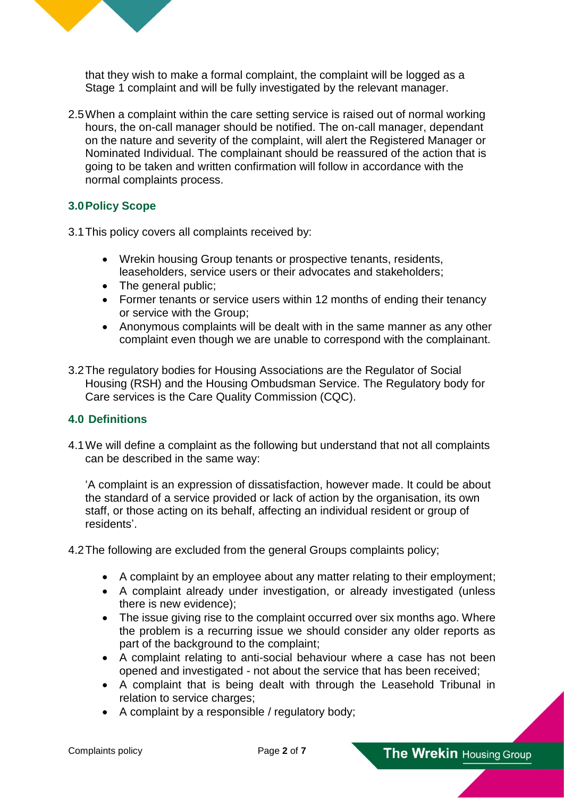

that they wish to make a formal complaint, the complaint will be logged as a Stage 1 complaint and will be fully investigated by the relevant manager.

2.5When a complaint within the care setting service is raised out of normal working hours, the on-call manager should be notified. The on-call manager, dependant on the nature and severity of the complaint, will alert the Registered Manager or Nominated Individual. The complainant should be reassured of the action that is going to be taken and written confirmation will follow in accordance with the normal complaints process.

## **3.0Policy Scope**

- 3.1This policy covers all complaints received by:
	- Wrekin housing Group tenants or prospective tenants, residents, leaseholders, service users or their advocates and stakeholders;
	- The general public:
	- Former tenants or service users within 12 months of ending their tenancy or service with the Group;
	- Anonymous complaints will be dealt with in the same manner as any other complaint even though we are unable to correspond with the complainant.
- 3.2The regulatory bodies for Housing Associations are the Regulator of Social Housing (RSH) and the Housing Ombudsman Service. The Regulatory body for Care services is the Care Quality Commission (CQC).

#### **4.0 Definitions**

4.1We will define a complaint as the following but understand that not all complaints can be described in the same way:

'A complaint is an expression of dissatisfaction, however made. It could be about the standard of a service provided or lack of action by the organisation, its own staff, or those acting on its behalf, affecting an individual resident or group of residents'.

4.2The following are excluded from the general Groups complaints policy;

- A complaint by an employee about any matter relating to their employment;
- A complaint already under investigation, or already investigated (unless there is new evidence);
- The issue giving rise to the complaint occurred over six months ago. Where the problem is a recurring issue we should consider any older reports as part of the background to the complaint;
- A complaint relating to anti-social behaviour where a case has not been opened and investigated - not about the service that has been received;
- A complaint that is being dealt with through the Leasehold Tribunal in relation to service charges;
- A complaint by a responsible / regulatory body;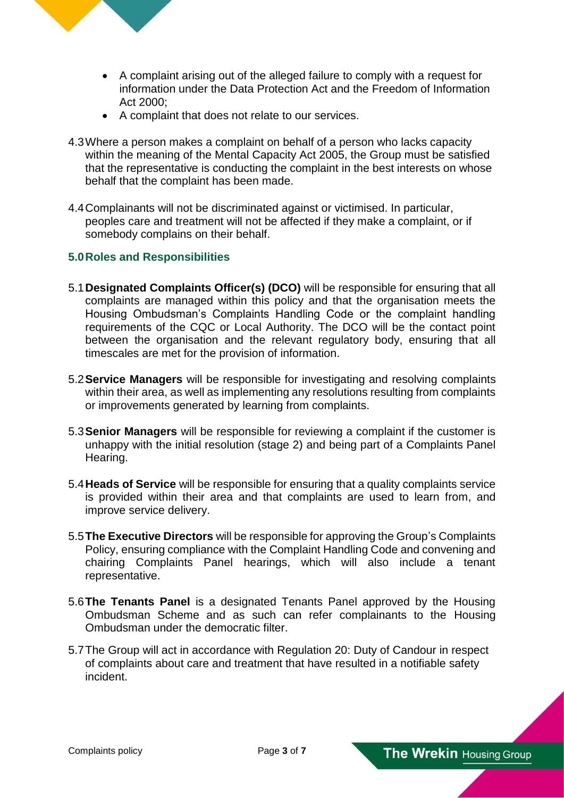

- A complaint arising out of the alleged failure to comply with a request for information under the Data Protection Act and the Freedom of Information Act 2000;
- A complaint that does not relate to our services.
- 4.3Where a person makes a complaint on behalf of a person who lacks capacity within the meaning of the Mental Capacity Act 2005, the Group must be satisfied that the representative is conducting the complaint in the best interests on whose behalf that the complaint has been made.
- 4.4Complainants will not be discriminated against or victimised. In particular, peoples care and treatment will not be affected if they make a complaint, or if somebody complains on their behalf.

## **5.0Roles and Responsibilities**

- 5.1**Designated Complaints Officer(s) (DCO)** will be responsible for ensuring that all complaints are managed within this policy and that the organisation meets the Housing Ombudsman's Complaints Handling Code or the complaint handling requirements of the CQC or Local Authority. The DCO will be the contact point between the organisation and the relevant regulatory body, ensuring that all timescales are met for the provision of information.
- 5.2**Service Managers** will be responsible for investigating and resolving complaints within their area, as well as implementing any resolutions resulting from complaints or improvements generated by learning from complaints.
- 5.3**Senior Managers** will be responsible for reviewing a complaint if the customer is unhappy with the initial resolution (stage 2) and being part of a Complaints Panel Hearing.
- 5.4**Heads of Service** will be responsible for ensuring that a quality complaints service is provided within their area and that complaints are used to learn from, and improve service delivery.
- 5.5**The Executive Directors** will be responsible for approving the Group's Complaints Policy, ensuring compliance with the Complaint Handling Code and convening and chairing Complaints Panel hearings, which will also include a tenant representative.
- 5.6**The Tenants Panel** is a designated Tenants Panel approved by the Housing Ombudsman Scheme and as such can refer complainants to the Housing Ombudsman under the democratic filter.
- 5.7The Group will act in accordance with Regulation 20: Duty of Candour in respect of complaints about care and treatment that have resulted in a notifiable safety incident.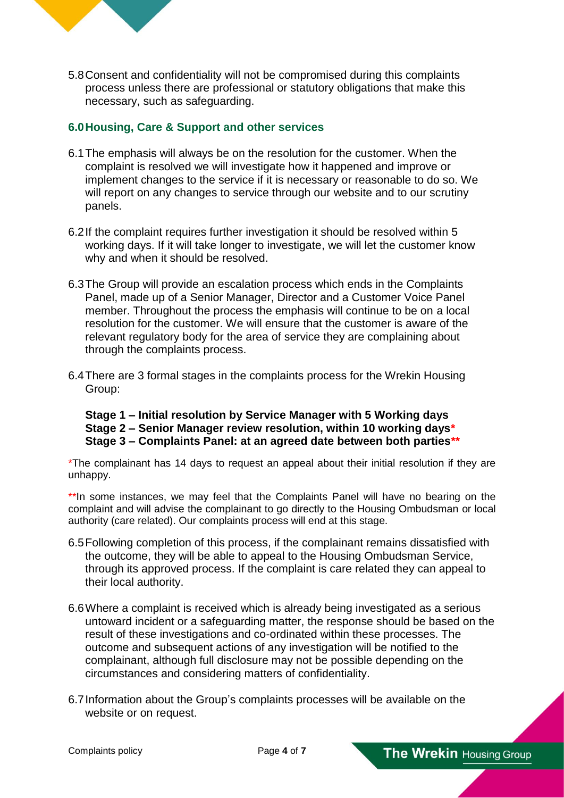

5.8Consent and confidentiality will not be compromised during this complaints process unless there are professional or statutory obligations that make this necessary, such as safeguarding.

## **6.0Housing, Care & Support and other services**

- 6.1The emphasis will always be on the resolution for the customer. When the complaint is resolved we will investigate how it happened and improve or implement changes to the service if it is necessary or reasonable to do so. We will report on any changes to service through our website and to our scrutiny panels.
- 6.2If the complaint requires further investigation it should be resolved within 5 working days. If it will take longer to investigate, we will let the customer know why and when it should be resolved.
- 6.3The Group will provide an escalation process which ends in the Complaints Panel, made up of a Senior Manager, Director and a Customer Voice Panel member. Throughout the process the emphasis will continue to be on a local resolution for the customer. We will ensure that the customer is aware of the relevant regulatory body for the area of service they are complaining about through the complaints process.
- 6.4There are 3 formal stages in the complaints process for the Wrekin Housing Group:

## **Stage 1 – Initial resolution by Service Manager with 5 Working days Stage 2 – Senior Manager review resolution, within 10 working days\* Stage 3 – Complaints Panel: at an agreed date between both parties\*\***

\*The complainant has 14 days to request an appeal about their initial resolution if they are unhappy.

\*\*In some instances, we may feel that the Complaints Panel will have no bearing on the complaint and will advise the complainant to go directly to the Housing Ombudsman or local authority (care related). Our complaints process will end at this stage.

- 6.5Following completion of this process, if the complainant remains dissatisfied with the outcome, they will be able to appeal to the Housing Ombudsman Service, through its approved process. If the complaint is care related they can appeal to their local authority.
- 6.6Where a complaint is received which is already being investigated as a serious untoward incident or a safeguarding matter, the response should be based on the result of these investigations and co-ordinated within these processes. The outcome and subsequent actions of any investigation will be notified to the complainant, although full disclosure may not be possible depending on the circumstances and considering matters of confidentiality.
- 6.7Information about the Group's complaints processes will be available on the website or on request.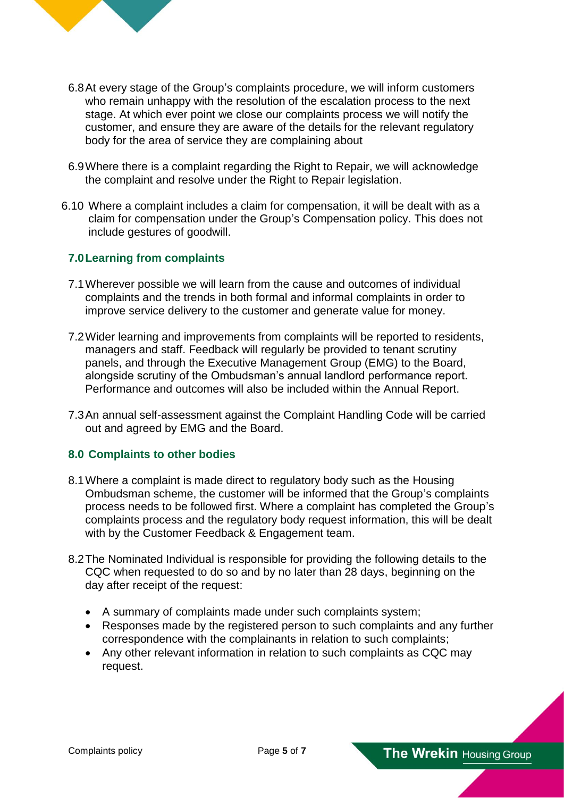

- 6.8At every stage of the Group's complaints procedure, we will inform customers who remain unhappy with the resolution of the escalation process to the next stage. At which ever point we close our complaints process we will notify the customer, and ensure they are aware of the details for the relevant regulatory body for the area of service they are complaining about
- 6.9Where there is a complaint regarding the Right to Repair, we will acknowledge the complaint and resolve under the Right to Repair legislation.
- 6.10 Where a complaint includes a claim for compensation, it will be dealt with as a claim for compensation under the Group's Compensation policy. This does not include gestures of goodwill.

#### **7.0Learning from complaints**

- 7.1Wherever possible we will learn from the cause and outcomes of individual complaints and the trends in both formal and informal complaints in order to improve service delivery to the customer and generate value for money.
- 7.2Wider learning and improvements from complaints will be reported to residents, managers and staff. Feedback will regularly be provided to tenant scrutiny panels, and through the Executive Management Group (EMG) to the Board, alongside scrutiny of the Ombudsman's annual landlord performance report. Performance and outcomes will also be included within the Annual Report.
- 7.3An annual self-assessment against the Complaint Handling Code will be carried out and agreed by EMG and the Board.

#### **8.0 Complaints to other bodies**

- 8.1Where a complaint is made direct to regulatory body such as the Housing Ombudsman scheme, the customer will be informed that the Group's complaints process needs to be followed first. Where a complaint has completed the Group's complaints process and the regulatory body request information, this will be dealt with by the Customer Feedback & Engagement team.
- 8.2The Nominated Individual is responsible for providing the following details to the CQC when requested to do so and by no later than 28 days, beginning on the day after receipt of the request:
	- A summary of complaints made under such complaints system;
	- Responses made by the registered person to such complaints and any further correspondence with the complainants in relation to such complaints;
	- Any other relevant information in relation to such complaints as CQC may request.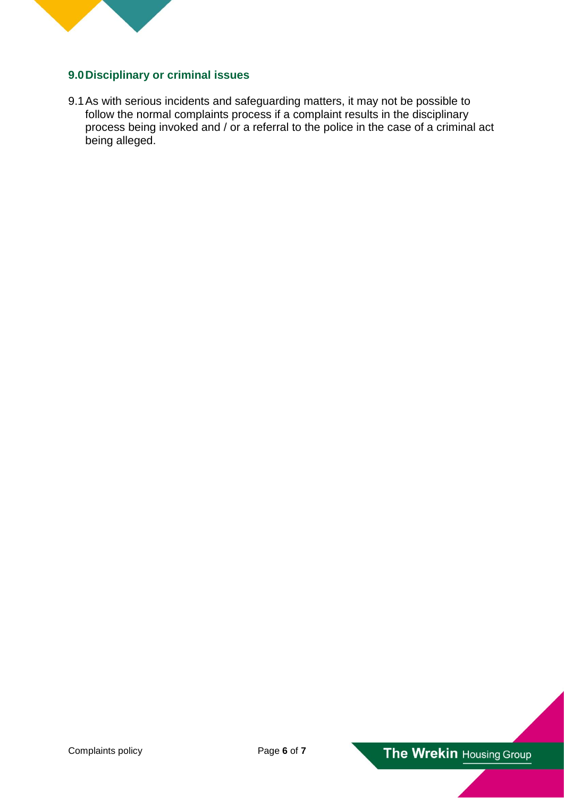

## **9.0Disciplinary or criminal issues**

9.1As with serious incidents and safeguarding matters, it may not be possible to follow the normal complaints process if a complaint results in the disciplinary process being invoked and / or a referral to the police in the case of a criminal act being alleged.